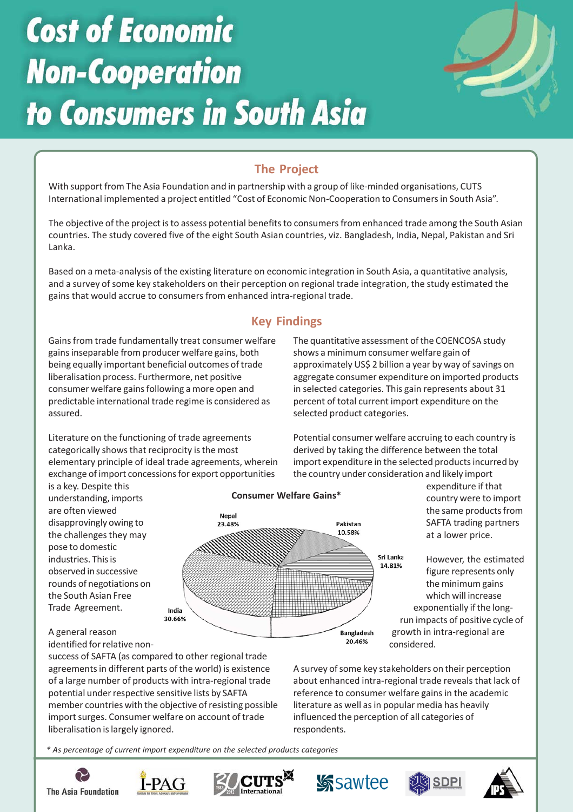# **Cost of Economic Non-Cooperation** to Consumers in South Asia



# **The Project**

With support from The Asia Foundation and in partnership with a group of like-minded organisations, CUTS International implemented a project entitled "Cost of Economic Non-Cooperation to Consumers in South Asia".

The objective of the project is to assess potential benefits to consumers from enhanced trade among the South Asian countries. The study covered five of the eight South Asian countries, viz. Bangladesh, India, Nepal, Pakistan and Sri Lanka.

Based on a meta-analysis of the existing literature on economic integration in South Asia, a quantitative analysis, and a survey of some key stakeholders on their perception on regional trade integration, the study estimated the gains that would accrue to consumers from enhanced intra-regional trade.

# **Key Findings**

Gains from trade fundamentally treat consumer welfare gains inseparable from producer welfare gains, both being equally important beneficial outcomes of trade liberalisation process. Furthermore, net positive consumer welfare gains following a more open and predictable international trade regime is considered as assured.

The quantitative assessment of the COENCOSA study shows a minimum consumer welfare gain of approximately US\$ 2 billion a year by way of savings on aggregate consumer expenditure on imported products in selected categories. This gain represents about 31 percent of total current import expenditure on the selected product categories.

Literature on the functioning of trade agreements categorically shows that reciprocity is the most elementary principle of ideal trade agreements, wherein exchange of import concessions for export opportunities

Potential consumer welfare accruing to each country is derived by taking the difference between the total import expenditure in the selected products incurred by the country under consideration and likely import

is a key. Despite this understanding, imports are often viewed disapprovingly owing to the challenges they may pose to domestic industries. This is observed in successive rounds of negotiations on the South Asian Free Trade Agreement.



expenditure if that country were to import the same products from SAFTA trading partners at a lower price.

However, the estimated figure represents only the minimum gains which will increase exponentially if the longrun impacts of positive cycle of growth in intra-regional are considered.

## A general reason

identified for relative non-

success of SAFTA (as compared to other regional trade agreements in different parts of the world) is existence of a large number of products with intra-regional trade potential under respective sensitive lists by SAFTA member countries with the objective of resisting possible import surges. Consumer welfare on account of trade liberalisation is largely ignored.

A survey of some key stakeholders on their perception about enhanced intra-regional trade reveals that lack of reference to consumer welfare gains in the academic literature as well as in popular media has heavily influenced the perception of all categories of respondents.

*\* As percentage of current import expenditure on the selected products categories*